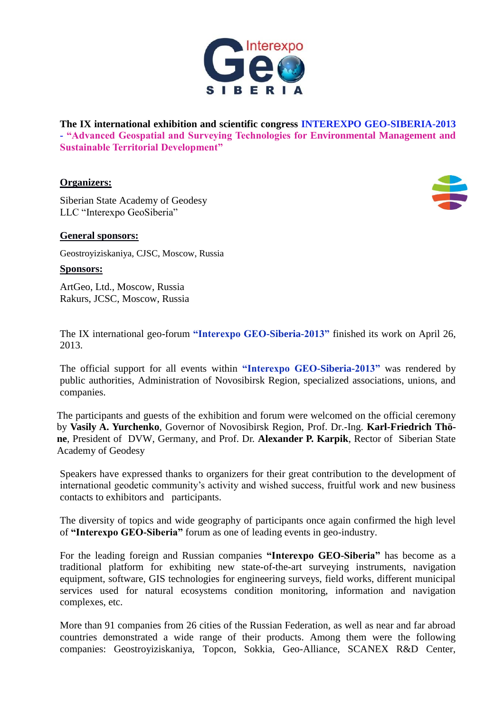

**The IX international exhibition and scientific congress INTEREXPO GEO-SIBERIA-2013 - "Advanced Geospatial and Surveying Technologies for Environmental Management and Sustainable Territorial Development"**

## **Organizers:**

Siberian State Academy of Geodesy LLC "Interexpo GeoSiberia"



## **General sponsors:**

Geostroyiziskaniya, CJSC, Moscow, Russia

**Sponsors:**

ArtGeo, Ltd., Moscow, Russia Rakurs, JCSC, Moscow, Russia

The IX international geo-forum **"Interexpo GEO-Siberia-2013"** finished its work on April 26, 2013.

The official support for all events within **"Interexpo GEO-Siberia-2013"** was rendered by public authorities, Administration of Novosibirsk Region, specialized associations, unions, and companies.

The participants and guests of the exhibition and forum were welcomed on the official ceremony by **Vasily A. Yurchenko**, Governor of Novosibirsk Region, Prof. Dr.-Ing. **Karl-Friedrich Thöne**, President of DVW, Germany, and Prof. Dr. **Alexander P. Karpik**, Rector of Siberian State Academy of Geodesy

Speakers have expressed thanks to organizers for their great contribution to the development of international geodetic community's activity and wished success, fruitful work and new business contacts to exhibitors and participants.

The diversity of topics and wide geography of participants once again confirmed the high level of **"Interexpo GEO-Siberia"** forum as one of leading events in geo-industry.

For the leading foreign and Russian companies **"Interexpo GEO-Siberia"** has become as a traditional platform for exhibiting new state-of-the-art surveying instruments, navigation equipment, software, GIS technologies for engineering surveys, field works, different municipal services used for natural ecosystems condition monitoring, information and navigation complexes, etc.

More than 91 companies from 26 cities of the Russian Federation, as well as near and far abroad countries demonstrated a wide range of their products. Among them were the following companies: Geostroyiziskaniya, Topcon, Sokkia, Geo-Alliance, SCANEX R&D Center,